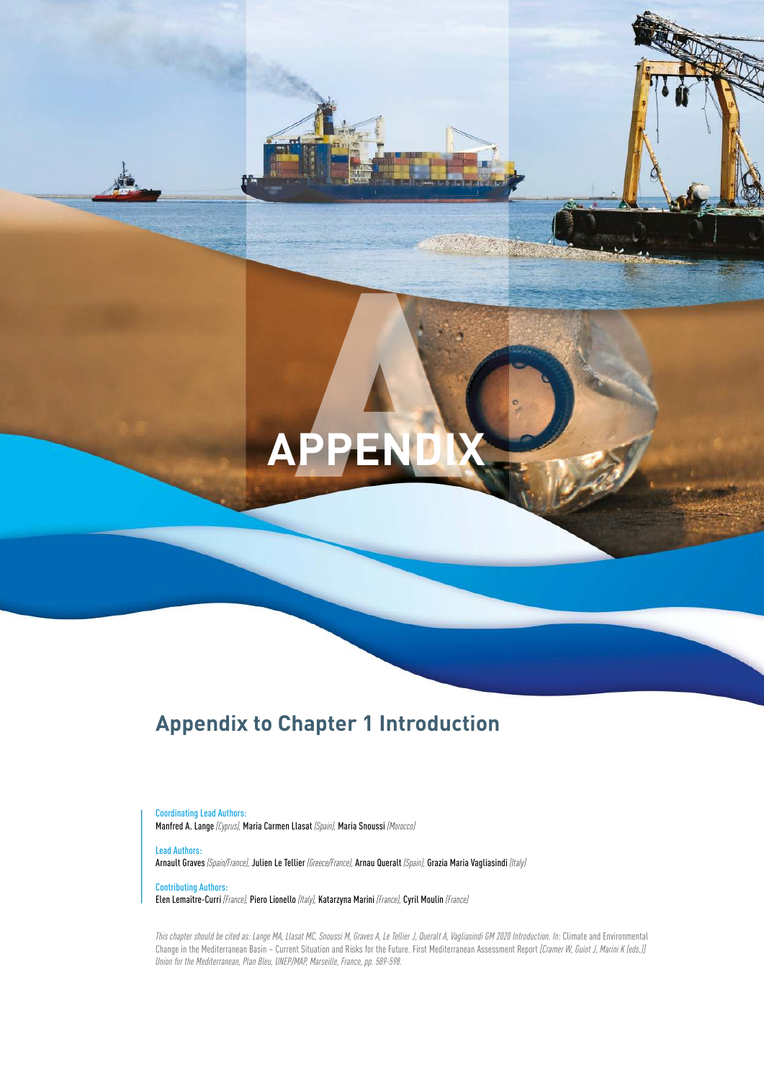# **APPENDIX** A

# Appendix to Chapter 1 Introduction

Coordinating Lead Authors: Manfred A. Lange *(Cyprus),* Maria Carmen Llasat *(Spain),* Maria Snoussi *(Morocco)*

Lead Authors: Arnault Graves *(Spain/France),* Julien Le Tellier *(Greece/France),* Arnau Queralt *(Spain),* Grazia Maria Vagliasindi *(Italy)*

Contributing Authors: Elen Lemaitre-Curri *(France),* Piero Lionello *(Italy),* Katarzyna Marini *(France),* Cyril Moulin *(France)* 

*This chapter should be cited as: Lange MA, Llasat MC, Snoussi M, Graves A, Le Tellier J, Queralt A, Vagliasindi GM 2020 Introduction. In:* Climate and Environmental Change in the Mediterranean Basin – Current Situation and Risks for the Future. First Mediterranean Assessment Report *[Cramer W, Guiot J, Marini K (eds.)] Union for the Mediterranean, Plan Bleu, UNEP/MAP, Marseille, France, pp. 589-598.*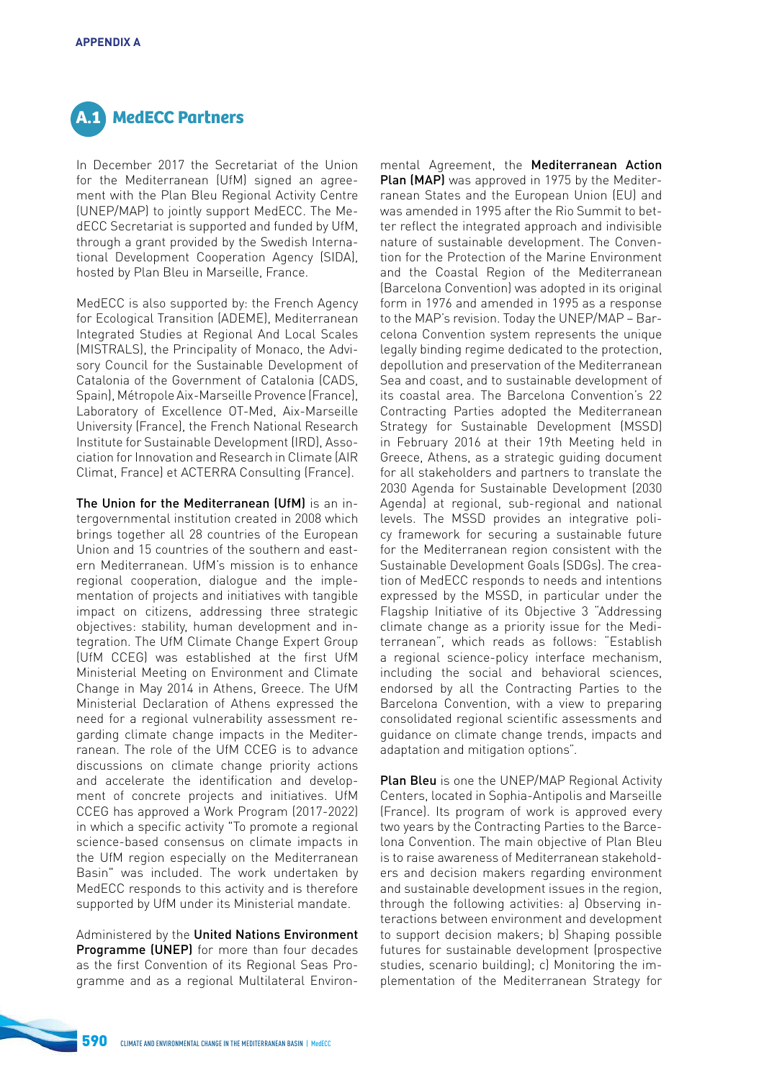

In December 2017 the Secretariat of the Union for the Mediterranean (UfM) signed an agreement with the Plan Bleu Regional Activity Centre (UNEP/MAP) to jointly support MedECC. The MedECC Secretariat is supported and funded by UfM, through a grant provided by the Swedish International Development Cooperation Agency (SIDA), hosted by Plan Bleu in Marseille, France.

MedECC is also supported by: the French Agency for Ecological Transition (ADEME), Mediterranean Integrated Studies at Regional And Local Scales (MISTRALS), the Principality of Monaco, the Advisory Council for the Sustainable Development of Catalonia of the Government of Catalonia (CADS, Spain), Métropole Aix-Marseille Provence (France), Laboratory of Excellence OT-Med, Aix-Marseille University (France), the French National Research Institute for Sustainable Development (IRD), Association for Innovation and Research in Climate (AIR Climat, France) et ACTERRA Consulting (France).

The Union for the Mediterranean (UfM) is an intergovernmental institution created in 2008 which brings together all 28 countries of the European Union and 15 countries of the southern and eastern Mediterranean. UfM's mission is to enhance regional cooperation, dialogue and the implementation of projects and initiatives with tangible impact on citizens, addressing three strategic objectives: stability, human development and integration. The UfM Climate Change Expert Group (UfM CCEG) was established at the frst UfM Ministerial Meeting on Environment and Climate Change in May 2014 in Athens, Greece. The UfM Ministerial Declaration of Athens expressed the need for a regional vulnerability assessment regarding climate change impacts in the Mediterranean. The role of the UfM CCEG is to advance discussions on climate change priority actions and accelerate the identifcation and development of concrete projects and initiatives. UfM CCEG has approved a Work Program (2017-2022) in which a specific activity "To promote a regional science-based consensus on climate impacts in the UfM region especially on the Mediterranean Basin" was included. The work undertaken by MedECC responds to this activity and is therefore supported by UfM under its Ministerial mandate.

Administered by the United Nations Environment Programme (UNEP) for more than four decades as the frst Convention of its Regional Seas Programme and as a regional Multilateral Environ-

mental Agreement, the Mediterranean Action Plan (MAP) was approved in 1975 by the Mediterranean States and the European Union (EU) and was amended in 1995 after the Rio Summit to better reflect the integrated approach and indivisible nature of sustainable development. The Convention for the Protection of the Marine Environment and the Coastal Region of the Mediterranean (Barcelona Convention) was adopted in its original form in 1976 and amended in 1995 as a response to the MAP's revision. Today the UNEP/MAP – Barcelona Convention system represents the unique legally binding regime dedicated to the protection, depollution and preservation of the Mediterranean Sea and coast, and to sustainable development of its coastal area. The Barcelona Convention's 22 Contracting Parties adopted the Mediterranean Strategy for Sustainable Development (MSSD) in February 2016 at their 19th Meeting held in Greece, Athens, as a strategic guiding document for all stakeholders and partners to translate the 2030 Agenda for Sustainable Development (2030 Agenda) at regional, sub-regional and national levels. The MSSD provides an integrative policy framework for securing a sustainable future for the Mediterranean region consistent with the Sustainable Development Goals (SDGs). The creation of MedECC responds to needs and intentions expressed by the MSSD, in particular under the Flagship Initiative of its Objective 3 "Addressing climate change as a priority issue for the Mediterranean", which reads as follows: "Establish a regional science-policy interface mechanism, including the social and behavioral sciences, endorsed by all the Contracting Parties to the Barcelona Convention, with a view to preparing consolidated regional scientifc assessments and guidance on climate change trends, impacts and adaptation and mitigation options".

Plan Bleu is one the UNEP/MAP Regional Activity Centers, located in Sophia-Antipolis and Marseille (France). Its program of work is approved every two years by the Contracting Parties to the Barcelona Convention. The main objective of Plan Bleu is to raise awareness of Mediterranean stakeholders and decision makers regarding environment and sustainable development issues in the region, through the following activities: a) Observing interactions between environment and development to support decision makers; b) Shaping possible futures for sustainable development (prospective studies, scenario building); c) Monitoring the implementation of the Mediterranean Strategy for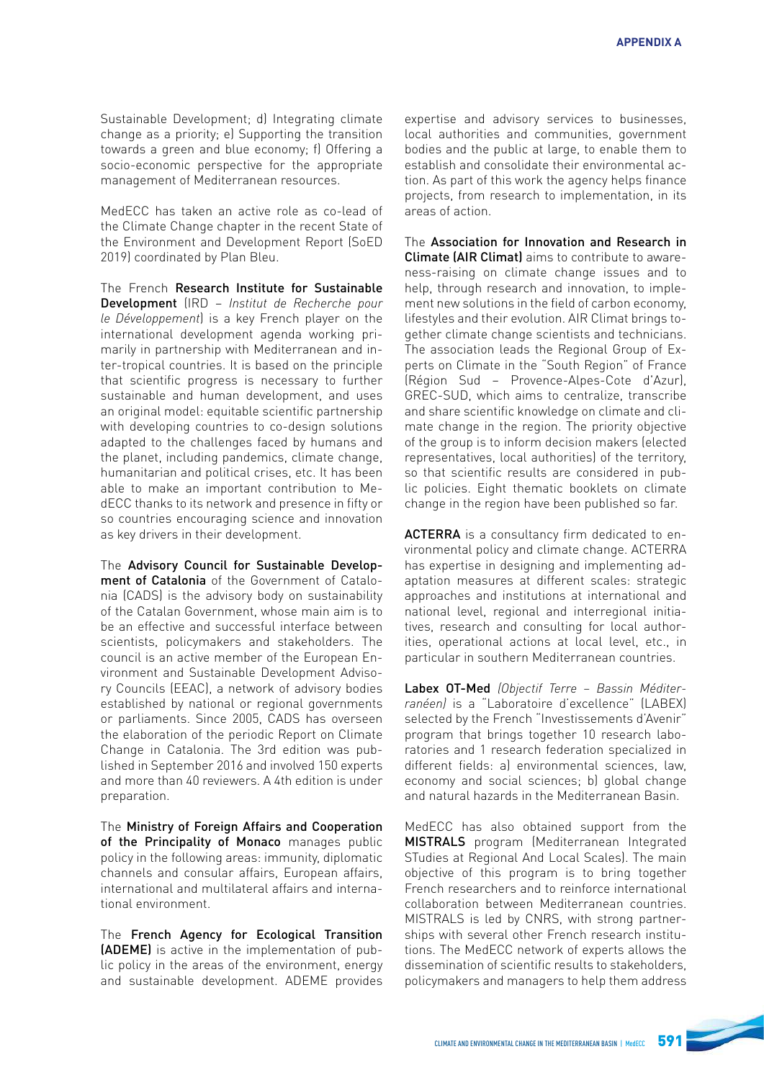Sustainable Development; d) Integrating climate change as a priority; e) Supporting the transition towards a green and blue economy; f) Offering a socio-economic perspective for the appropriate management of Mediterranean resources.

MedECC has taken an active role as co-lead of the Climate Change chapter in the recent State of the Environment and Development Report (SoED 2019) coordinated by Plan Bleu.

The French Research Institute for Sustainable Development (IRD – *Institut de Recherche pour*  le Développement) is a key French player on the international development agenda working primarily in partnership with Mediterranean and inter-tropical countries. It is based on the principle that scientific progress is necessary to further sustainable and human development, and uses an original model: equitable scientific partnership with developing countries to co-design solutions adapted to the challenges faced by humans and the planet, including pandemics, climate change, humanitarian and political crises, etc. It has been able to make an important contribution to MedECC thanks to its network and presence in ffty or so countries encouraging science and innovation as key drivers in their development.

The Advisory Council for Sustainable Development of Catalonia of the Government of Catalonia (CADS) is the advisory body on sustainability of the Catalan Government, whose main aim is to be an effective and successful interface between scientists, policymakers and stakeholders. The council is an active member of the European Environment and Sustainable Development Advisory Councils (EEAC), a network of advisory bodies established by national or regional governments or parliaments. Since 2005, CADS has overseen the elaboration of the periodic Report on Climate Change in Catalonia. The 3rd edition was published in September 2016 and involved 150 experts and more than 40 reviewers. A 4th edition is under preparation.

The Ministry of Foreign Affairs and Cooperation of the Principality of Monaco manages public policy in the following areas: immunity, diplomatic channels and consular affairs, European affairs, international and multilateral affairs and international environment.

The French Agency for Ecological Transition (ADEME) is active in the implementation of public policy in the areas of the environment, energy and sustainable development. ADEME provides

expertise and advisory services to businesses, local authorities and communities, government bodies and the public at large, to enable them to establish and consolidate their environmental action. As part of this work the agency helps fnance projects, from research to implementation, in its areas of action.

The Association for Innovation and Research in Climate (AIR Climat) aims to contribute to awareness-raising on climate change issues and to help, through research and innovation, to implement new solutions in the field of carbon economy. lifestyles and their evolution. AIR Climat brings together climate change scientists and technicians. The association leads the Regional Group of Experts on Climate in the "South Region" of France (Région Sud – Provence-Alpes-Cote d'Azur), GREC-SUD, which aims to centralize, transcribe and share scientific knowledge on climate and climate change in the region. The priority objective of the group is to inform decision makers (elected representatives, local authorities) of the territory, so that scientific results are considered in public policies. Eight thematic booklets on climate change in the region have been published so far.

ACTERRA is a consultancy firm dedicated to environmental policy and climate change. ACTERRA has expertise in designing and implementing adaptation measures at different scales: strategic approaches and institutions at international and national level, regional and interregional initiatives, research and consulting for local authorities, operational actions at local level, etc., in particular in southern Mediterranean countries.

Labex OT-Med (Objectif Terre – Bassin Méditerranéen) is a "Laboratoire d'excellence" (LABEX) selected by the French "Investissements d'Avenir" program that brings together 10 research laboratories and 1 research federation specialized in different fields: a) environmental sciences, law, economy and social sciences; b) global change and natural hazards in the Mediterranean Basin.

MedECC has also obtained support from the MISTRALS program (Mediterranean Integrated STudies at Regional And Local Scales). The main objective of this program is to bring together French researchers and to reinforce international collaboration between Mediterranean countries. MISTRALS is led by CNRS, with strong partnerships with several other French research institutions. The MedECC network of experts allows the dissemination of scientific results to stakeholders policymakers and managers to help them address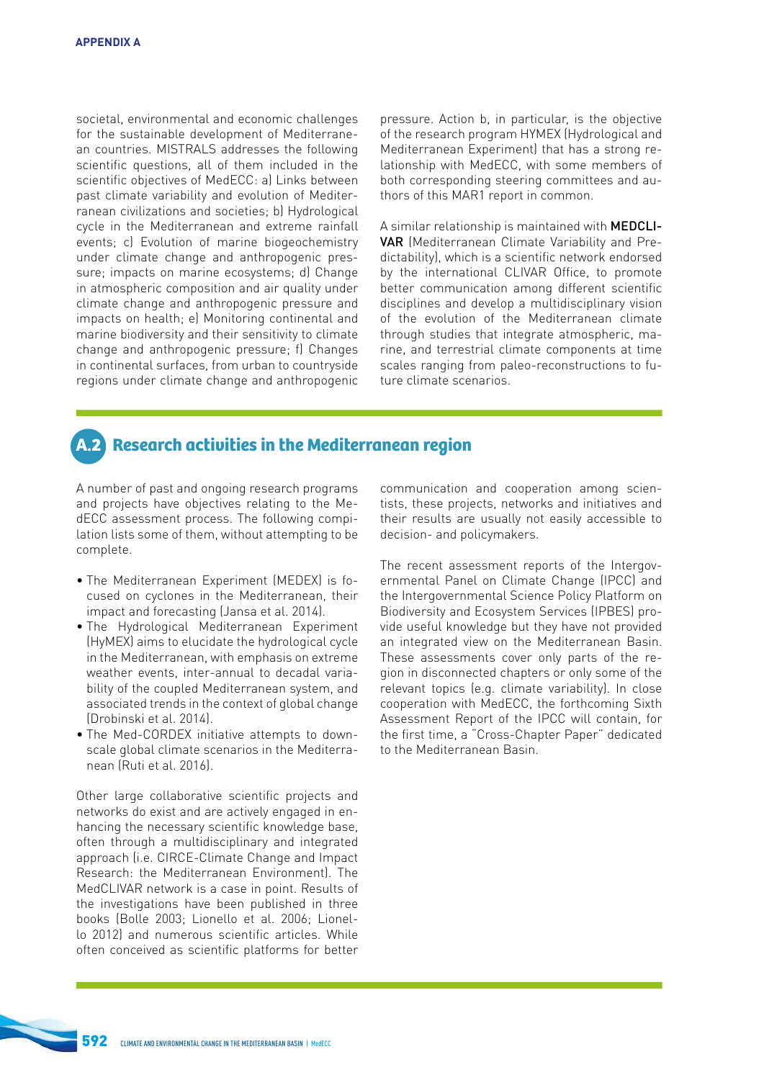societal, environmental and economic challenges for the sustainable development of Mediterranean countries. MISTRALS addresses the following scientific questions, all of them included in the scientific objectives of MedECC: a) Links between past climate variability and evolution of Mediterranean civilizations and societies; b) Hydrological cycle in the Mediterranean and extreme rainfall events; c) Evolution of marine biogeochemistry under climate change and anthropogenic pressure; impacts on marine ecosystems; d) Change in atmospheric composition and air quality under climate change and anthropogenic pressure and impacts on health; e) Monitoring continental and marine biodiversity and their sensitivity to climate change and anthropogenic pressure; f) Changes in continental surfaces, from urban to countryside regions under climate change and anthropogenic pressure. Action b, in particular, is the objective of the research program HYMEX (Hydrological and Mediterranean Experiment) that has a strong relationship with MedECC, with some members of both corresponding steering committees and authors of this MAR1 report in common.

A similar relationship is maintained with MEDCLI-VAR (Mediterranean Climate Variability and Predictability), which is a scientific network endorsed by the international CLIVAR Office, to promote better communication among different scientific disciplines and develop a multidisciplinary vision of the evolution of the Mediterranean climate through studies that integrate atmospheric, marine, and terrestrial climate components at time scales ranging from paleo-reconstructions to future climate scenarios.

# **A.2 Research activities in the Mediterranean region**

A number of past and ongoing research programs and projects have objectives relating to the MedECC assessment process. The following compilation lists some of them, without attempting to be complete.

- The Mediterranean Experiment (MEDEX) is focused on cyclones in the Mediterranean, their impact and forecasting (Jansa et al. 2014).
- The Hydrological Mediterranean Experiment (HyMEX) aims to elucidate the hydrological cycle in the Mediterranean, with emphasis on extreme weather events, inter-annual to decadal variability of the coupled Mediterranean system, and associated trends in the context of global change (Drobinski et al. 2014).
- The Med-CORDEX initiative attempts to downscale global climate scenarios in the Mediterranean (Ruti et al. 2016).

Other large collaborative scientific projects and networks do exist and are actively engaged in enhancing the necessary scientific knowledge base, often through a multidisciplinary and integrated approach (i.e. CIRCE-Climate Change and Impact Research: the Mediterranean Environment). The MedCLIVAR network is a case in point. Results of the investigations have been published in three books (Bolle 2003; Lionello et al. 2006; Lionello 2012) and numerous scientifc articles. While often conceived as scientifc platforms for better communication and cooperation among scientists, these projects, networks and initiatives and their results are usually not easily accessible to decision- and policymakers.

The recent assessment reports of the Intergovernmental Panel on Climate Change (IPCC) and the Intergovernmental Science Policy Platform on Biodiversity and Ecosystem Services (IPBES) provide useful knowledge but they have not provided an integrated view on the Mediterranean Basin. These assessments cover only parts of the region in disconnected chapters or only some of the relevant topics (e.g. climate variability). In close cooperation with MedECC, the forthcoming Sixth Assessment Report of the IPCC will contain, for the frst time, a "Cross-Chapter Paper" dedicated to the Mediterranean Basin.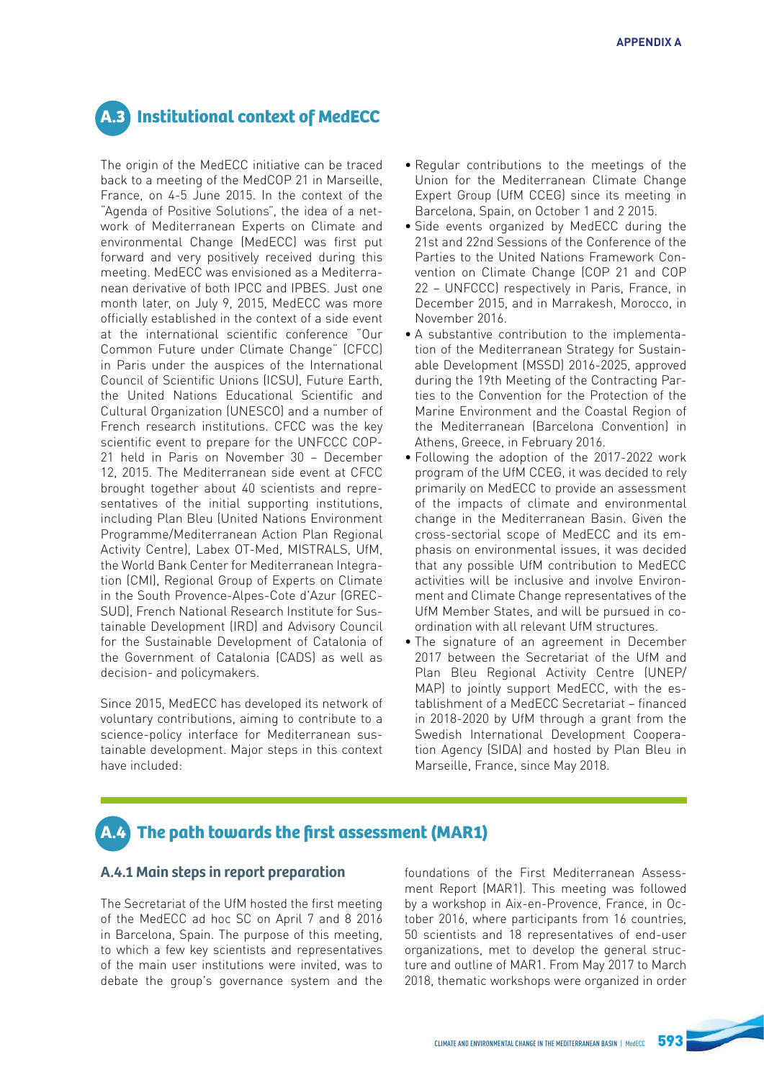# **A.3 Institutional context of MedECC**

The origin of the MedECC initiative can be traced back to a meeting of the MedCOP 21 in Marseille, France, on 4-5 June 2015. In the context of the "Agenda of Positive Solutions", the idea of a network of Mediterranean Experts on Climate and environmental Change (MedECC) was first put forward and very positively received during this meeting. MedECC was envisioned as a Mediterranean derivative of both IPCC and IPBES. Just one month later, on July 9, 2015, MedECC was more officially established in the context of a side event at the international scientifc conference "Our Common Future under Climate Change" (CFCC) in Paris under the auspices of the International Council of Scientific Unions (ICSU), Future Earth, the United Nations Educational Scientific and Cultural Organization (UNESCO) and a number of French research institutions. CFCC was the key scientific event to prepare for the UNFCCC COP-21 held in Paris on November 30 – December 12, 2015. The Mediterranean side event at CFCC brought together about 40 scientists and representatives of the initial supporting institutions, including Plan Bleu (United Nations Environment Programme/Mediterranean Action Plan Regional Activity Centre), Labex OT-Med, MISTRALS, UfM, the World Bank Center for Mediterranean Integration (CMI), Regional Group of Experts on Climate in the South Provence-Alpes-Cote d'Azur (GREC-SUD), French National Research Institute for Sustainable Development (IRD) and Advisory Council for the Sustainable Development of Catalonia of the Government of Catalonia (CADS) as well as decision- and policymakers.

Since 2015, MedECC has developed its network of voluntary contributions, aiming to contribute to a science-policy interface for Mediterranean sustainable development. Major steps in this context have included:

- Regular contributions to the meetings of the Union for the Mediterranean Climate Change Expert Group (UfM CCEG) since its meeting in Barcelona, Spain, on October 1 and 2 2015.
- Side events organized by MedECC during the 21st and 22nd Sessions of the Conference of the Parties to the United Nations Framework Convention on Climate Change (COP 21 and COP 22 – UNFCCC) respectively in Paris, France, in December 2015, and in Marrakesh, Morocco, in November 2016.
- A substantive contribution to the implementation of the Mediterranean Strategy for Sustainable Development (MSSD) 2016-2025, approved during the 19th Meeting of the Contracting Parties to the Convention for the Protection of the Marine Environment and the Coastal Region of the Mediterranean (Barcelona Convention) in Athens, Greece, in February 2016.
- Following the adoption of the 2017-2022 work program of the UfM CCEG, it was decided to rely primarily on MedECC to provide an assessment of the impacts of climate and environmental change in the Mediterranean Basin. Given the cross-sectorial scope of MedECC and its emphasis on environmental issues, it was decided that any possible UfM contribution to MedECC activities will be inclusive and involve Environment and Climate Change representatives of the UfM Member States, and will be pursued in coordination with all relevant UfM structures.
- The signature of an agreement in December 2017 between the Secretariat of the UfM and Plan Bleu Regional Activity Centre (UNEP/ MAP) to jointly support MedECC, with the establishment of a MedECC Secretariat – fnanced in 2018-2020 by UfM through a grant from the Swedish International Development Cooperation Agency (SIDA) and hosted by Plan Bleu in Marseille, France, since May 2018.

# **A.4 The path towards the first assessment (MAR1)**

### **A.4.1 Main steps in report preparation**

The Secretariat of the UfM hosted the first meeting of the MedECC ad hoc SC on April 7 and 8 2016 in Barcelona, Spain. The purpose of this meeting, to which a few key scientists and representatives of the main user institutions were invited, was to debate the group's governance system and the

foundations of the First Mediterranean Assessment Report (MAR1). This meeting was followed by a workshop in Aix-en-Provence, France, in October 2016, where participants from 16 countries, 50 scientists and 18 representatives of end-user organizations, met to develop the general structure and outline of MAR1. From May 2017 to March 2018, thematic workshops were organized in order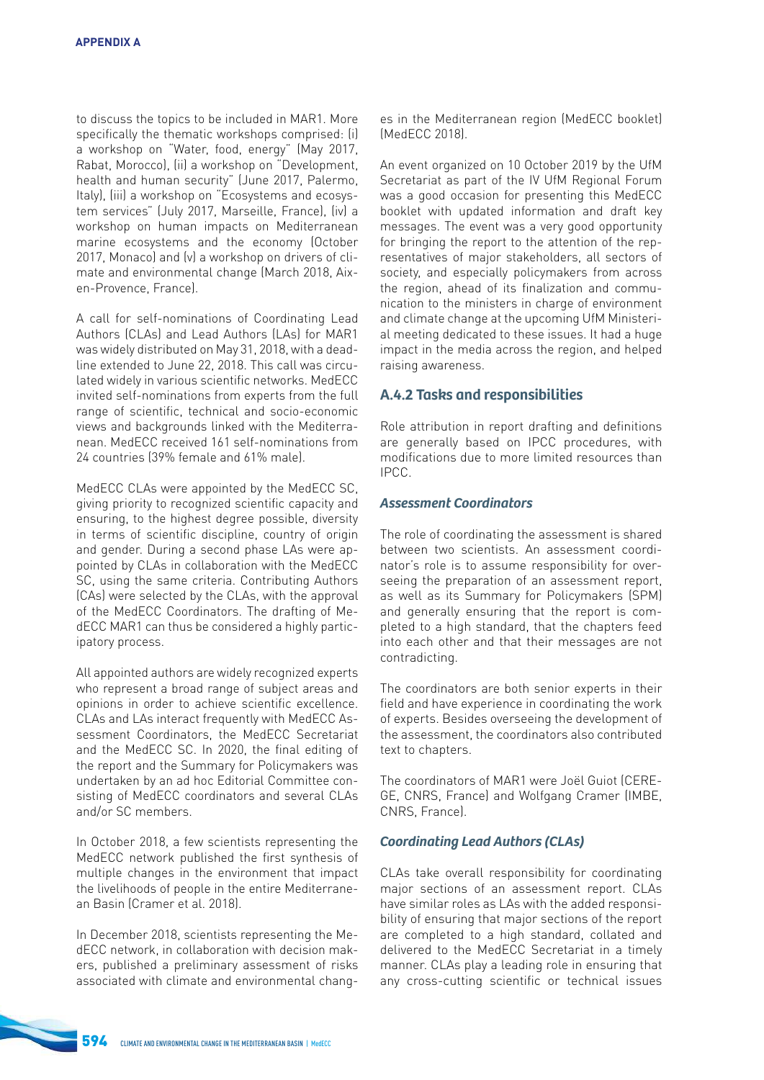to discuss the topics to be included in MAR1. More specifically the thematic workshops comprised: (i) a workshop on "Water, food, energy" (May 2017, Rabat, Morocco), (ii) a workshop on "Development, health and human security" (June 2017, Palermo, Italy), (iii) a workshop on "Ecosystems and ecosystem services" (July 2017, Marseille, France), (iv) a workshop on human impacts on Mediterranean marine ecosystems and the economy (October 2017, Monaco) and (v) a workshop on drivers of climate and environmental change (March 2018, Aixen-Provence, France).

A call for self-nominations of Coordinating Lead Authors (CLAs) and Lead Authors (LAs) for MAR1 was widely distributed on May 31, 2018, with a deadline extended to June 22, 2018. This call was circulated widely in various scientific networks. MedECC invited self-nominations from experts from the full range of scientific, technical and socio-economic views and backgrounds linked with the Mediterranean. MedECC received 161 self-nominations from 24 countries (39% female and 61% male).

MedECC CLAs were appointed by the MedECC SC, giving priority to recognized scientifc capacity and ensuring, to the highest degree possible, diversity in terms of scientific discipline, country of origin and gender. During a second phase LAs were appointed by CLAs in collaboration with the MedECC SC, using the same criteria. Contributing Authors (CAs) were selected by the CLAs, with the approval of the MedECC Coordinators. The drafting of MedECC MAR1 can thus be considered a highly participatory process.

All appointed authors are widely recognized experts who represent a broad range of subject areas and opinions in order to achieve scientific excellence. CLAs and LAs interact frequently with MedECC Assessment Coordinators, the MedECC Secretariat and the MedECC SC. In 2020, the fnal editing of the report and the Summary for Policymakers was undertaken by an ad hoc Editorial Committee consisting of MedECC coordinators and several CLAs and/or SC members.

In October 2018, a few scientists representing the MedECC network published the first synthesis of multiple changes in the environment that impact the livelihoods of people in the entire Mediterranean Basin (Cramer et al. 2018).

In December 2018, scientists representing the MedECC network, in collaboration with decision makers, published a preliminary assessment of risks associated with climate and environmental changes in the Mediterranean region (MedECC booklet) (MedECC 2018).

An event organized on 10 October 2019 by the UfM Secretariat as part of the IV UfM Regional Forum was a good occasion for presenting this MedECC booklet with updated information and draft key messages. The event was a very good opportunity for bringing the report to the attention of the representatives of major stakeholders, all sectors of society, and especially policymakers from across the region, ahead of its fnalization and communication to the ministers in charge of environment and climate change at the upcoming UfM Ministerial meeting dedicated to these issues. It had a huge impact in the media across the region, and helped raising awareness.

### **A.4.2 Tasks and responsibilities**

Role attribution in report drafting and definitions are generally based on IPCC procedures, with modifcations due to more limited resources than IPCC.

### **Assessment Coordinators**

The role of coordinating the assessment is shared between two scientists. An assessment coordinator's role is to assume responsibility for overseeing the preparation of an assessment report, as well as its Summary for Policymakers (SPM) and generally ensuring that the report is completed to a high standard, that the chapters feed into each other and that their messages are not contradicting.

The coordinators are both senior experts in their feld and have experience in coordinating the work of experts. Besides overseeing the development of the assessment, the coordinators also contributed text to chapters.

The coordinators of MAR1 were Joël Guiot (CERE-GE, CNRS, France) and Wolfgang Cramer (IMBE, CNRS, France).

### Coordinating Lead Authors (CLAs)

CLAs take overall responsibility for coordinating major sections of an assessment report. CLAs have similar roles as LAs with the added responsibility of ensuring that major sections of the report are completed to a high standard, collated and delivered to the MedECC Secretariat in a timely manner. CLAs play a leading role in ensuring that any cross-cutting scientific or technical issues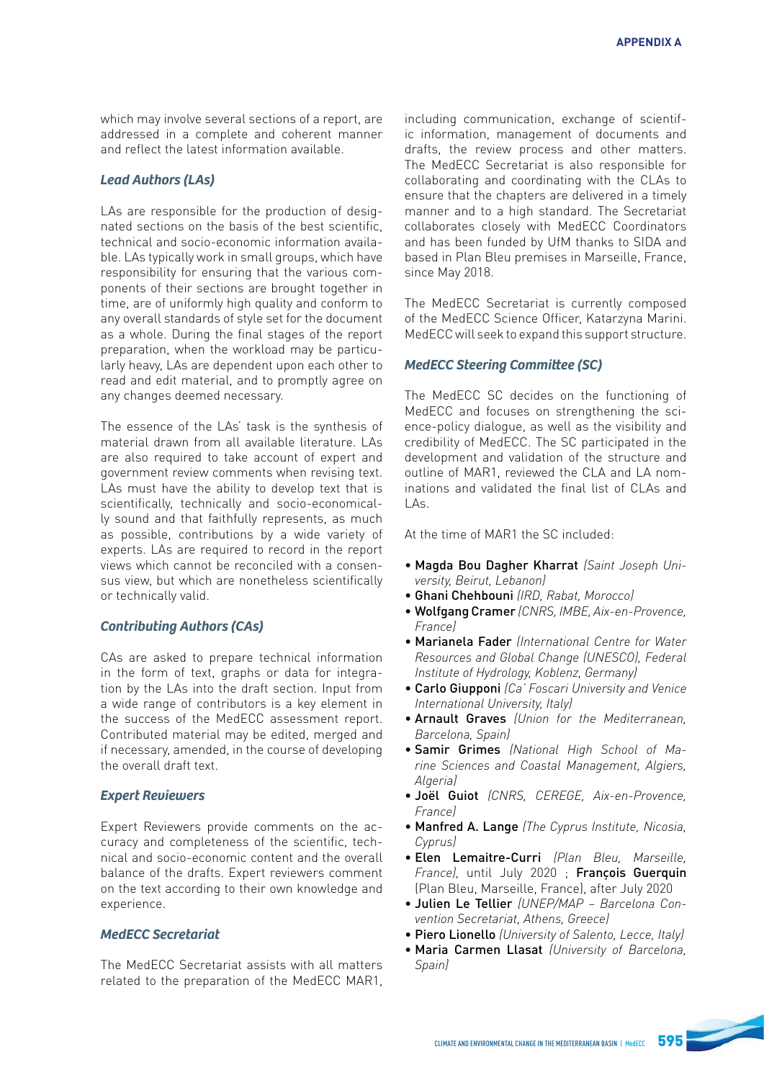which may involve several sections of a report, are addressed in a complete and coherent manner and reflect the latest information available.

### Lead Authors (LAs)

LAs are responsible for the production of designated sections on the basis of the best scientifc, technical and socio-economic information available. LAs typically work in small groups, which have responsibility for ensuring that the various components of their sections are brought together in time, are of uniformly high quality and conform to any overall standards of style set for the document as a whole. During the final stages of the report preparation, when the workload may be particularly heavy, LAs are dependent upon each other to read and edit material, and to promptly agree on any changes deemed necessary.

The essence of the LAs' task is the synthesis of material drawn from all available literature. LAs are also required to take account of expert and government review comments when revising text. LAs must have the ability to develop text that is scientifcally, technically and socio-economically sound and that faithfully represents, as much as possible, contributions by a wide variety of experts. LAs are required to record in the report views which cannot be reconciled with a consensus view, but which are nonetheless scientifcally or technically valid.

### Contributing Authors (CAs)

CAs are asked to prepare technical information in the form of text, graphs or data for integration by the LAs into the draft section. Input from a wide range of contributors is a key element in the success of the MedECC assessment report. Contributed material may be edited, merged and if necessary, amended, in the course of developing the overall draft text.

### **Expert Reviewers**

Expert Reviewers provide comments on the accuracy and completeness of the scientifc, technical and socio-economic content and the overall balance of the drafts. Expert reviewers comment on the text according to their own knowledge and experience.

### **MedECC Secretariat**

The MedECC Secretariat assists with all matters related to the preparation of the MedECC MAR1,

including communication, exchange of scientific information, management of documents and drafts, the review process and other matters. The MedECC Secretariat is also responsible for collaborating and coordinating with the CLAs to ensure that the chapters are delivered in a timely manner and to a high standard. The Secretariat collaborates closely with MedECC Coordinators and has been funded by UfM thanks to SIDA and based in Plan Bleu premises in Marseille, France, since May 2018.

The MedECC Secretariat is currently composed of the MedECC Science Officer, Katarzyna Marini. MedECC will seek to expand this support structure.

### MedECC Steering Commitee (SC)

The MedECC SC decides on the functioning of MedECC and focuses on strengthening the science-policy dialogue, as well as the visibility and credibility of MedECC. The SC participated in the development and validation of the structure and outline of MAR1, reviewed the CLA and LA nominations and validated the fnal list of CLAs and  $\Lambda$ c.

At the time of MAR1 the SC included:

- Magda Bou Dagher Kharrat *(Saint Joseph Uni*versity, Beirut, Lebanon)
- Ghani Chehbouni *(IRD, Rabat, Morocco)*
- Wolfgang Cramer (CNRS, IMBE, Aix-en-Provence, *France)*
- Marianela Fader (International Centre for Water Resources and Global Change (UNESCO), Federal Institute of Hydrology, Koblenz, Germany)
- Carlo Giupponi *(Ca' Foscari University and Venice International University, Italy)*
- Arnault Graves *(Union for the Mediterranean,*  Barcelona, Spain)
- Samir Grimes (National High School of Marine Sciences and Coastal Management, Algiers, *Algerial*
- Joël Guiot (CNRS, CEREGE, Aix-en-Provence, *France)*
- Manfred A. Lange (The Cyprus Institute, Nicosia, *Cyprus)*
- Elen Lemaitre-Curri (Plan Bleu, Marseille, *France),* until July 2020 ; François Guerquin (Plan Bleu, Marseille, France), after July 2020
- Julien Le Tellier (UNEP/MAP Barcelona Convention Secretariat, Athens, Greece)
- Piero Lionello (University of Salento, Lecce, Italy)
- Maria Carmen Llasat (University of Barcelona, *Spain)*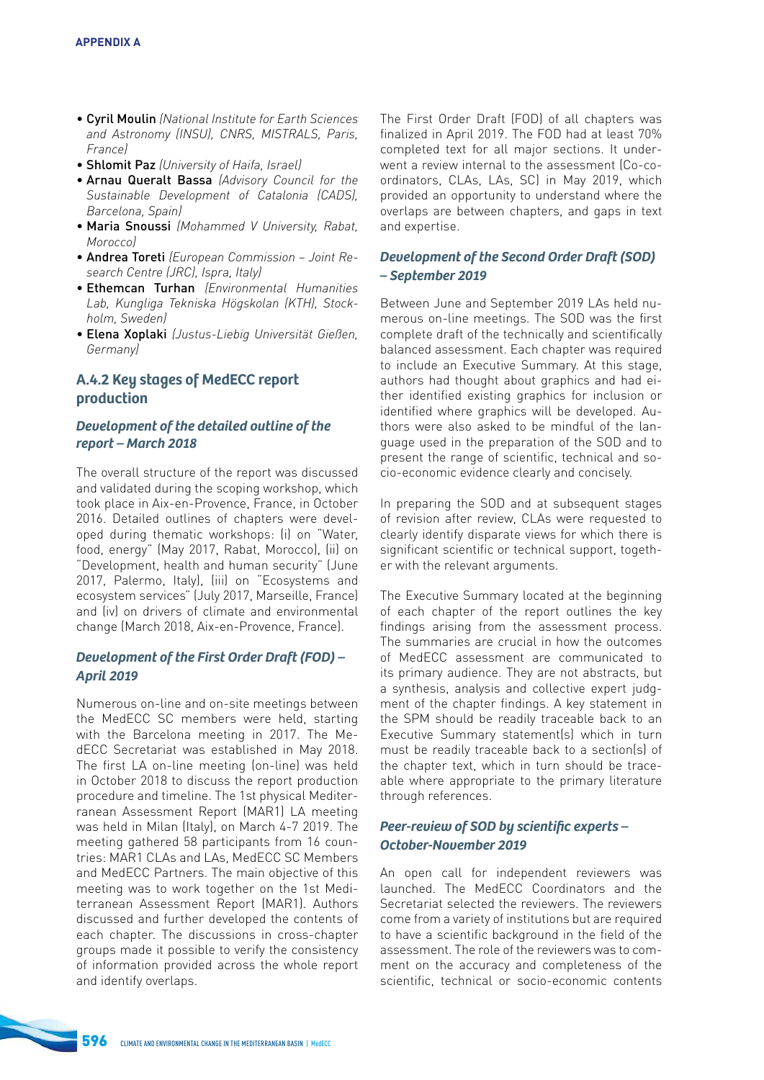- Cyril Moulin (National Institute for Earth Sciences and Astronomy (INSU), CNRS, MISTRALS, Paris, *France)*
- Shlomit Paz (University of Haifa, Israel)
- Arnau Queralt Bassa (Advisory Council for the Sustainable Development of Catalonia (CADS), Barcelona, Spain)
- Maria Snoussi *(Mohammed V University, Rabat, Morocco)*
- Andrea Toreti (European Commission Joint Re*search Centre (JRC), Ispra, Italy)*
- Ethemcan Turhan (Environmental Humanities Lab, Kungliga Tekniska Högskolan (KTH), Stock*holm, Sweden)*
- Elena Xoplaki (Justus-Liebig Universität Gießen, *Germany)*

## **A.4.2 Key stages of MedECC report production**

### **Development of the detailed outline of the report – March 2018**

The overall structure of the report was discussed and validated during the scoping workshop, which took place in Aix-en-Provence, France, in October 2016. Detailed outlines of chapters were developed during thematic workshops: (i) on "Water, food, energy" (May 2017, Rabat, Morocco), (ii) on "Development, health and human security" (June 2017, Palermo, Italy), (iii) on "Ecosystems and ecosystem services" (July 2017, Marseille, France) and (iv) on drivers of climate and environmental change (March 2018, Aix-en-Provence, France).

### Development of the First Order Draft (FOD) – **April 2019**

Numerous on-line and on-site meetings between the MedECC SC members were held, starting with the Barcelona meeting in 2017. The MedECC Secretariat was established in May 2018. The first LA on-line meeting (on-line) was held in October 2018 to discuss the report production procedure and timeline. The 1st physical Mediterranean Assessment Report (MAR1) LA meeting was held in Milan (Italy), on March 4-7 2019. The meeting gathered 58 participants from 16 countries: MAR1 CLAs and LAs, MedECC SC Members and MedECC Partners. The main objective of this meeting was to work together on the 1st Mediterranean Assessment Report (MAR1). Authors discussed and further developed the contents of each chapter. The discussions in cross-chapter groups made it possible to verify the consistency of information provided across the whole report and identify overlaps.

The First Order Draft (FOD) of all chapters was fnalized in April 2019. The FOD had at least 70% completed text for all major sections. It underwent a review internal to the assessment (Co-coordinators, CLAs, LAs, SC) in May 2019, which provided an opportunity to understand where the overlaps are between chapters, and gaps in text and expertise.

### Development of the Second Order Draft (SOD) **– September 2019**

Between June and September 2019 LAs held numerous on-line meetings. The SOD was the frst complete draft of the technically and scientifcally balanced assessment. Each chapter was required to include an Executive Summary. At this stage, authors had thought about graphics and had either identifed existing graphics for inclusion or identifed where graphics will be developed. Authors were also asked to be mindful of the language used in the preparation of the SOD and to present the range of scientific, technical and socio-economic evidence clearly and concisely.

In preparing the SOD and at subsequent stages of revision after review, CLAs were requested to clearly identify disparate views for which there is significant scientific or technical support, together with the relevant arguments.

The Executive Summary located at the beginning of each chapter of the report outlines the key findings arising from the assessment process. The summaries are crucial in how the outcomes of MedECC assessment are communicated to its primary audience. They are not abstracts, but a synthesis, analysis and collective expert judgment of the chapter findings. A key statement in the SPM should be readily traceable back to an Executive Summary statement(s) which in turn must be readily traceable back to a section(s) of the chapter text, which in turn should be traceable where appropriate to the primary literature through references.

### Peer-review of SOD by scientifc experts – **October-November 2019**

An open call for independent reviewers was launched. The MedECC Coordinators and the Secretariat selected the reviewers. The reviewers come from a variety of institutions but are required to have a scientific background in the field of the assessment. The role of the reviewers was to comment on the accuracy and completeness of the scientific, technical or socio-economic contents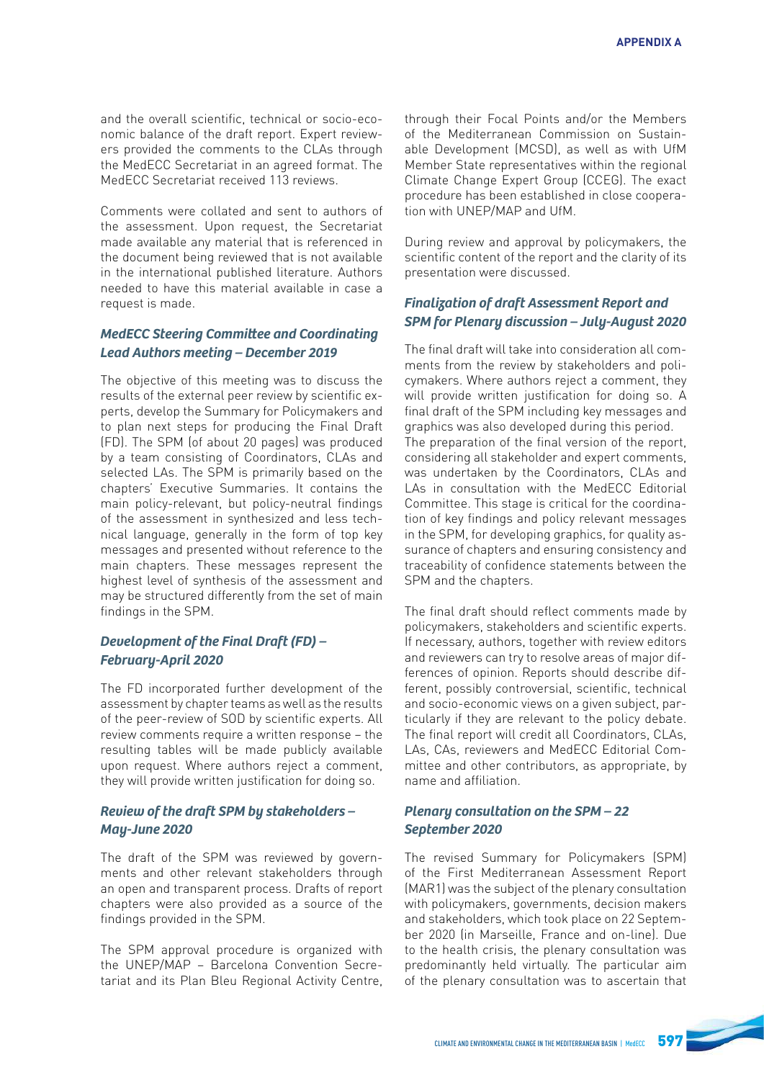and the overall scientific, technical or socio-economic balance of the draft report. Expert reviewers provided the comments to the CLAs through the MedECC Secretariat in an agreed format. The MedECC Secretariat received 113 reviews.

Comments were collated and sent to authors of the assessment. Upon request, the Secretariat made available any material that is referenced in the document being reviewed that is not available in the international published literature. Authors needed to have this material available in case a request is made.

### MedECC Steering Commitee and Coordinating **Lead Authors meeting – December 2019**

The objective of this meeting was to discuss the results of the external peer review by scientific experts, develop the Summary for Policymakers and to plan next steps for producing the Final Draft (FD). The SPM (of about 20 pages) was produced by a team consisting of Coordinators, CLAs and selected LAs. The SPM is primarily based on the chapters' Executive Summaries. It contains the main policy-relevant, but policy-neutral findings of the assessment in synthesized and less technical language, generally in the form of top key messages and presented without reference to the main chapters. These messages represent the highest level of synthesis of the assessment and may be structured differently from the set of main findings in the SPM.

### Development of the Final Draft (FD) – **February-April 2020**

The FD incorporated further development of the assessment by chapter teams as well as the results of the peer-review of SOD by scientific experts. All review comments require a written response – the resulting tables will be made publicly available upon request. Where authors reject a comment, they will provide written justifcation for doing so.

### **Review of the draft SPM by stakeholders – May-June 2020**

The draft of the SPM was reviewed by governments and other relevant stakeholders through an open and transparent process. Drafts of report chapters were also provided as a source of the findings provided in the SPM.

The SPM approval procedure is organized with the UNEP/MAP – Barcelona Convention Secretariat and its Plan Bleu Regional Activity Centre,

through their Focal Points and/or the Members of the Mediterranean Commission on Sustainable Development (MCSD), as well as with UfM Member State representatives within the regional Climate Change Expert Group (CCEG). The exact procedure has been established in close cooperation with UNEP/MAP and UfM.

During review and approval by policymakers, the scientific content of the report and the clarity of its presentation were discussed.

### **Finalization of draft Assessment Report and SPM for Plenary discussion – July-August 2020**

The final draft will take into consideration all comments from the review by stakeholders and policymakers. Where authors reject a comment, they will provide written justification for doing so. A final draft of the SPM including key messages and graphics was also developed during this period. The preparation of the final version of the report, considering all stakeholder and expert comments, was undertaken by the Coordinators, CLAs and LAs in consultation with the MedECC Editorial Committee. This stage is critical for the coordination of key findings and policy relevant messages in the SPM, for developing graphics, for quality assurance of chapters and ensuring consistency and traceability of confidence statements between the SPM and the chapters.

The final draft should reflect comments made by policymakers, stakeholders and scientifc experts. If necessary, authors, together with review editors and reviewers can try to resolve areas of major differences of opinion. Reports should describe different, possibly controversial, scientific, technical and socio-economic views on a given subject, particularly if they are relevant to the policy debate. The final report will credit all Coordinators, CLAs. LAs, CAs, reviewers and MedECC Editorial Committee and other contributors, as appropriate, by name and affliation.

### **Plenary consultation on the SPM – 22 September 2020**

The revised Summary for Policymakers (SPM) of the First Mediterranean Assessment Report (MAR1) was the subject of the plenary consultation with policymakers, governments, decision makers and stakeholders, which took place on 22 September 2020 (in Marseille, France and on-line). Due to the health crisis, the plenary consultation was predominantly held virtually. The particular aim of the plenary consultation was to ascertain that